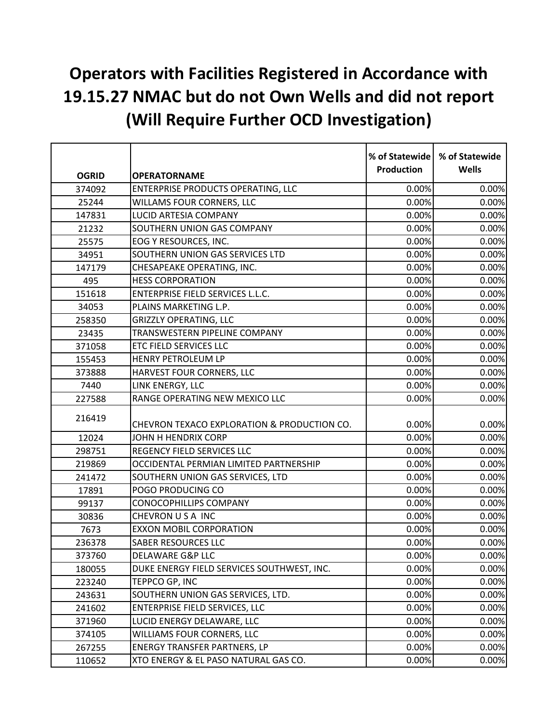## **Operators with Facilities Registered in Accordance with 19.15.27 NMAC but do not Own Wells and did not report (Will Require Further OCD Investigation)**

|              |                                             | % of Statewide<br><b>Production</b> | % of Statewide<br><b>Wells</b> |
|--------------|---------------------------------------------|-------------------------------------|--------------------------------|
| <b>OGRID</b> | <b>OPERATORNAME</b>                         |                                     |                                |
| 374092       | ENTERPRISE PRODUCTS OPERATING, LLC          | 0.00%                               | 0.00%                          |
| 25244        | WILLAMS FOUR CORNERS, LLC                   | 0.00%                               | 0.00%                          |
| 147831       | LUCID ARTESIA COMPANY                       | 0.00%                               | 0.00%                          |
| 21232        | SOUTHERN UNION GAS COMPANY                  | 0.00%                               | 0.00%                          |
| 25575        | EOG Y RESOURCES, INC.                       | 0.00%                               | 0.00%                          |
| 34951        | SOUTHERN UNION GAS SERVICES LTD             | 0.00%                               | 0.00%                          |
| 147179       | CHESAPEAKE OPERATING, INC.                  | 0.00%                               | 0.00%                          |
| 495          | <b>HESS CORPORATION</b>                     | 0.00%                               | 0.00%                          |
| 151618       | ENTERPRISE FIELD SERVICES L.L.C.            | 0.00%                               | 0.00%                          |
| 34053        | PLAINS MARKETING L.P.                       | 0.00%                               | 0.00%                          |
| 258350       | <b>GRIZZLY OPERATING, LLC</b>               | 0.00%                               | 0.00%                          |
| 23435        | TRANSWESTERN PIPELINE COMPANY               | 0.00%                               | 0.00%                          |
| 371058       | ETC FIELD SERVICES LLC                      | 0.00%                               | 0.00%                          |
| 155453       | HENRY PETROLEUM LP                          | 0.00%                               | 0.00%                          |
| 373888       | HARVEST FOUR CORNERS, LLC                   | 0.00%                               | 0.00%                          |
| 7440         | LINK ENERGY, LLC                            | 0.00%                               | 0.00%                          |
| 227588       | RANGE OPERATING NEW MEXICO LLC              | 0.00%                               | 0.00%                          |
| 216419       | CHEVRON TEXACO EXPLORATION & PRODUCTION CO. | 0.00%                               | 0.00%                          |
| 12024        | JOHN H HENDRIX CORP                         | 0.00%                               | 0.00%                          |
| 298751       | REGENCY FIELD SERVICES LLC                  | 0.00%                               | 0.00%                          |
| 219869       | OCCIDENTAL PERMIAN LIMITED PARTNERSHIP      | 0.00%                               | 0.00%                          |
| 241472       | SOUTHERN UNION GAS SERVICES, LTD            | 0.00%                               | 0.00%                          |
| 17891        | POGO PRODUCING CO                           | 0.00%                               | 0.00%                          |
| 99137        | CONOCOPHILLIPS COMPANY                      | 0.00%                               | 0.00%                          |
| 30836        | CHEVRON USA INC                             | 0.00%                               | 0.00%                          |
| 7673         | <b>EXXON MOBIL CORPORATION</b>              | 0.00%                               | 0.00%                          |
| 236378       | <b>SABER RESOURCES LLC</b>                  | 0.00%                               | 0.00%                          |
| 373760       | DELAWARE G&P LLC                            | $0.00\%$                            | $0.00\%$                       |
| 180055       | DUKE ENERGY FIELD SERVICES SOUTHWEST, INC.  | 0.00%                               | 0.00%                          |
| 223240       | TEPPCO GP, INC                              | 0.00%                               | 0.00%                          |
| 243631       | SOUTHERN UNION GAS SERVICES, LTD.           | 0.00%                               | 0.00%                          |
| 241602       | ENTERPRISE FIELD SERVICES, LLC              | 0.00%                               | 0.00%                          |
| 371960       | LUCID ENERGY DELAWARE, LLC                  | 0.00%                               | 0.00%                          |
| 374105       | WILLIAMS FOUR CORNERS, LLC                  | 0.00%                               | 0.00%                          |
| 267255       | <b>ENERGY TRANSFER PARTNERS, LP</b>         | 0.00%                               | 0.00%                          |
| 110652       | XTO ENERGY & EL PASO NATURAL GAS CO.        | 0.00%                               | 0.00%                          |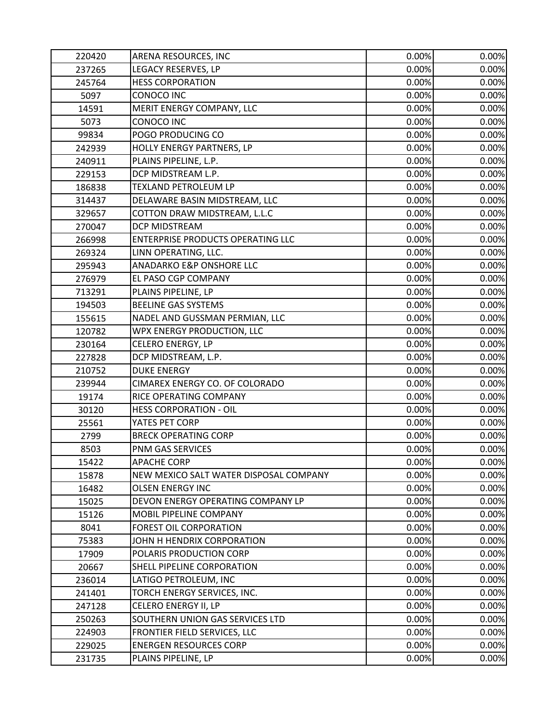| 220420 | ARENA RESOURCES, INC                     | 0.00% | 0.00% |
|--------|------------------------------------------|-------|-------|
| 237265 | LEGACY RESERVES, LP                      | 0.00% | 0.00% |
| 245764 | <b>HESS CORPORATION</b>                  | 0.00% | 0.00% |
| 5097   | CONOCO INC                               | 0.00% | 0.00% |
| 14591  | MERIT ENERGY COMPANY, LLC                | 0.00% | 0.00% |
| 5073   | CONOCO INC                               | 0.00% | 0.00% |
| 99834  | POGO PRODUCING CO                        | 0.00% | 0.00% |
| 242939 | HOLLY ENERGY PARTNERS, LP                | 0.00% | 0.00% |
| 240911 | PLAINS PIPELINE, L.P.                    | 0.00% | 0.00% |
| 229153 | DCP MIDSTREAM L.P.                       | 0.00% | 0.00% |
| 186838 | TEXLAND PETROLEUM LP                     | 0.00% | 0.00% |
| 314437 | DELAWARE BASIN MIDSTREAM, LLC            | 0.00% | 0.00% |
| 329657 | COTTON DRAW MIDSTREAM, L.L.C             | 0.00% | 0.00% |
| 270047 | DCP MIDSTREAM                            | 0.00% | 0.00% |
| 266998 | <b>ENTERPRISE PRODUCTS OPERATING LLC</b> | 0.00% | 0.00% |
| 269324 | LINN OPERATING, LLC.                     | 0.00% | 0.00% |
| 295943 | ANADARKO E&P ONSHORE LLC                 | 0.00% | 0.00% |
| 276979 | EL PASO CGP COMPANY                      | 0.00% | 0.00% |
| 713291 | PLAINS PIPELINE, LP                      | 0.00% | 0.00% |
| 194503 | <b>BEELINE GAS SYSTEMS</b>               | 0.00% | 0.00% |
| 155615 | NADEL AND GUSSMAN PERMIAN, LLC           | 0.00% | 0.00% |
| 120782 | WPX ENERGY PRODUCTION, LLC               | 0.00% | 0.00% |
| 230164 | CELERO ENERGY, LP                        | 0.00% | 0.00% |
| 227828 | DCP MIDSTREAM, L.P.                      | 0.00% | 0.00% |
| 210752 | <b>DUKE ENERGY</b>                       | 0.00% | 0.00% |
| 239944 | CIMAREX ENERGY CO. OF COLORADO           | 0.00% | 0.00% |
| 19174  | RICE OPERATING COMPANY                   | 0.00% | 0.00% |
| 30120  | <b>HESS CORPORATION - OIL</b>            | 0.00% | 0.00% |
| 25561  | YATES PET CORP                           | 0.00% | 0.00% |
| 2799   | <b>BRECK OPERATING CORP</b>              | 0.00% | 0.00% |
| 8503   | PNM GAS SERVICES                         | 0.00% | 0.00% |
| 15422  | <b>APACHE CORP</b>                       | 0.00% | 0.00% |
| 15878  | NEW MEXICO SALT WATER DISPOSAL COMPANY   | 0.00% | 0.00% |
| 16482  | <b>OLSEN ENERGY INC</b>                  | 0.00% | 0.00% |
| 15025  | DEVON ENERGY OPERATING COMPANY LP        | 0.00% | 0.00% |
| 15126  | MOBIL PIPELINE COMPANY                   | 0.00% | 0.00% |
| 8041   | FOREST OIL CORPORATION                   | 0.00% | 0.00% |
| 75383  | JOHN H HENDRIX CORPORATION               | 0.00% | 0.00% |
| 17909  | POLARIS PRODUCTION CORP                  | 0.00% | 0.00% |
| 20667  | SHELL PIPELINE CORPORATION               | 0.00% | 0.00% |
| 236014 | LATIGO PETROLEUM, INC                    | 0.00% | 0.00% |
| 241401 | TORCH ENERGY SERVICES, INC.              | 0.00% | 0.00% |
| 247128 | CELERO ENERGY II, LP                     | 0.00% | 0.00% |
| 250263 | SOUTHERN UNION GAS SERVICES LTD          | 0.00% | 0.00% |
| 224903 | FRONTIER FIELD SERVICES, LLC             | 0.00% | 0.00% |
| 229025 | <b>ENERGEN RESOURCES CORP</b>            | 0.00% | 0.00% |
| 231735 | PLAINS PIPELINE, LP                      | 0.00% | 0.00% |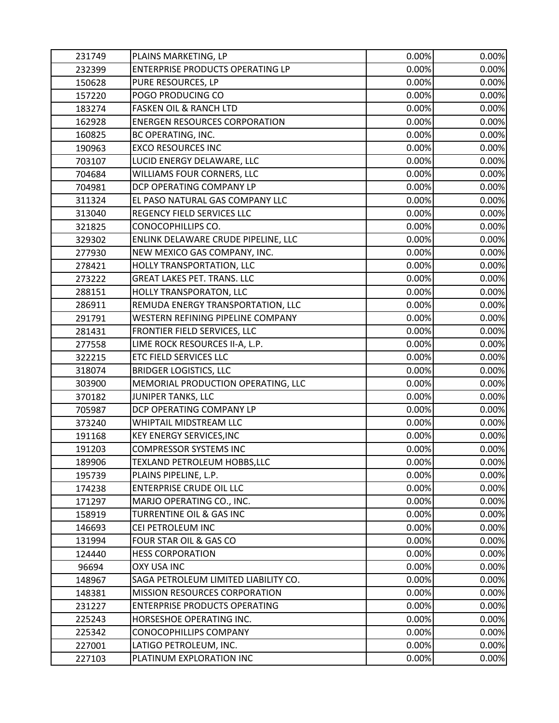| 231749 | PLAINS MARKETING, LP                 | 0.00% | 0.00% |
|--------|--------------------------------------|-------|-------|
| 232399 | ENTERPRISE PRODUCTS OPERATING LP     | 0.00% | 0.00% |
| 150628 | PURE RESOURCES, LP                   | 0.00% | 0.00% |
| 157220 | POGO PRODUCING CO                    | 0.00% | 0.00% |
| 183274 | <b>FASKEN OIL &amp; RANCH LTD</b>    | 0.00% | 0.00% |
| 162928 | <b>ENERGEN RESOURCES CORPORATION</b> | 0.00% | 0.00% |
| 160825 | BC OPERATING, INC.                   | 0.00% | 0.00% |
| 190963 | <b>EXCO RESOURCES INC</b>            | 0.00% | 0.00% |
| 703107 | LUCID ENERGY DELAWARE, LLC           | 0.00% | 0.00% |
| 704684 | WILLIAMS FOUR CORNERS, LLC           | 0.00% | 0.00% |
| 704981 | DCP OPERATING COMPANY LP             | 0.00% | 0.00% |
| 311324 | EL PASO NATURAL GAS COMPANY LLC      | 0.00% | 0.00% |
| 313040 | REGENCY FIELD SERVICES LLC           | 0.00% | 0.00% |
| 321825 | CONOCOPHILLIPS CO.                   | 0.00% | 0.00% |
| 329302 | ENLINK DELAWARE CRUDE PIPELINE, LLC  | 0.00% | 0.00% |
| 277930 | NEW MEXICO GAS COMPANY, INC.         | 0.00% | 0.00% |
| 278421 | HOLLY TRANSPORTATION, LLC            | 0.00% | 0.00% |
| 273222 | <b>GREAT LAKES PET. TRANS. LLC</b>   | 0.00% | 0.00% |
| 288151 | HOLLY TRANSPORATON, LLC              | 0.00% | 0.00% |
| 286911 | REMUDA ENERGY TRANSPORTATION, LLC    | 0.00% | 0.00% |
| 291791 | WESTERN REFINING PIPELINE COMPANY    | 0.00% | 0.00% |
| 281431 | FRONTIER FIELD SERVICES, LLC         | 0.00% | 0.00% |
| 277558 | LIME ROCK RESOURCES II-A, L.P.       | 0.00% | 0.00% |
| 322215 | ETC FIELD SERVICES LLC               | 0.00% | 0.00% |
| 318074 | <b>BRIDGER LOGISTICS, LLC</b>        | 0.00% | 0.00% |
| 303900 | MEMORIAL PRODUCTION OPERATING, LLC   | 0.00% | 0.00% |
| 370182 | JUNIPER TANKS, LLC                   | 0.00% | 0.00% |
| 705987 | DCP OPERATING COMPANY LP             | 0.00% | 0.00% |
| 373240 | WHIPTAIL MIDSTREAM LLC               | 0.00% | 0.00% |
| 191168 | <b>KEY ENERGY SERVICES, INC</b>      | 0.00% | 0.00% |
| 191203 | <b>COMPRESSOR SYSTEMS INC</b>        | 0.00% | 0.00% |
| 189906 | TEXLAND PETROLEUM HOBBS,LLC          | 0.00% | 0.00% |
| 195739 | PLAINS PIPELINE, L.P.                | 0.00% | 0.00% |
| 174238 | <b>ENTERPRISE CRUDE OIL LLC</b>      | 0.00% | 0.00% |
| 171297 | MARJO OPERATING CO., INC.            | 0.00% | 0.00% |
| 158919 | <b>TURRENTINE OIL &amp; GAS INC</b>  | 0.00% | 0.00% |
| 146693 | CEI PETROLEUM INC                    | 0.00% | 0.00% |
| 131994 | FOUR STAR OIL & GAS CO               | 0.00% | 0.00% |
| 124440 | <b>HESS CORPORATION</b>              | 0.00% | 0.00% |
| 96694  | <b>OXY USA INC</b>                   | 0.00% | 0.00% |
| 148967 | SAGA PETROLEUM LIMITED LIABILITY CO. | 0.00% | 0.00% |
| 148381 | MISSION RESOURCES CORPORATION        | 0.00% | 0.00% |
| 231227 | <b>ENTERPRISE PRODUCTS OPERATING</b> | 0.00% | 0.00% |
| 225243 | HORSESHOE OPERATING INC.             | 0.00% | 0.00% |
| 225342 | CONOCOPHILLIPS COMPANY               | 0.00% | 0.00% |
| 227001 | LATIGO PETROLEUM, INC.               | 0.00% | 0.00% |
| 227103 | PLATINUM EXPLORATION INC             | 0.00% | 0.00% |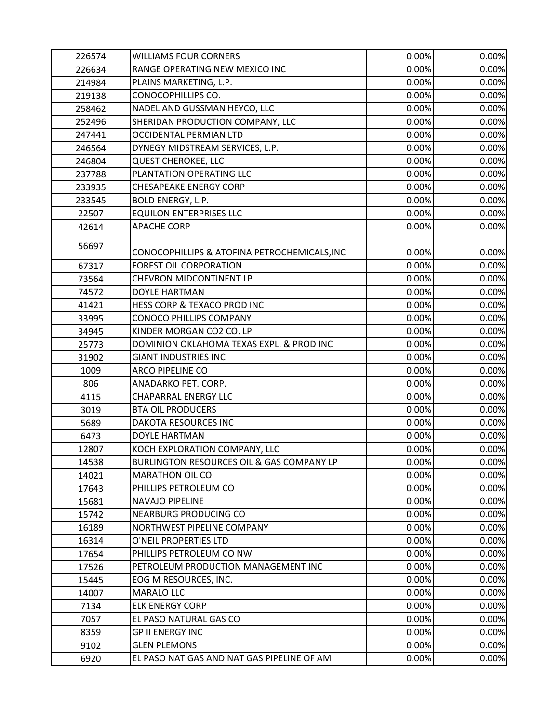| 226574 | <b>WILLIAMS FOUR CORNERS</b>                 | 0.00% | 0.00% |
|--------|----------------------------------------------|-------|-------|
| 226634 | RANGE OPERATING NEW MEXICO INC               | 0.00% | 0.00% |
| 214984 | PLAINS MARKETING, L.P.                       | 0.00% | 0.00% |
| 219138 | CONOCOPHILLIPS CO.                           | 0.00% | 0.00% |
| 258462 | NADEL AND GUSSMAN HEYCO, LLC                 | 0.00% | 0.00% |
| 252496 | SHERIDAN PRODUCTION COMPANY, LLC             | 0.00% | 0.00% |
| 247441 | <b>OCCIDENTAL PERMIAN LTD</b>                | 0.00% | 0.00% |
| 246564 | DYNEGY MIDSTREAM SERVICES, L.P.              | 0.00% | 0.00% |
| 246804 | <b>QUEST CHEROKEE, LLC</b>                   | 0.00% | 0.00% |
| 237788 | PLANTATION OPERATING LLC                     | 0.00% | 0.00% |
| 233935 | <b>CHESAPEAKE ENERGY CORP</b>                | 0.00% | 0.00% |
| 233545 | <b>BOLD ENERGY, L.P.</b>                     | 0.00% | 0.00% |
| 22507  | <b>EQUILON ENTERPRISES LLC</b>               | 0.00% | 0.00% |
| 42614  | <b>APACHE CORP</b>                           | 0.00% | 0.00% |
| 56697  | CONOCOPHILLIPS & ATOFINA PETROCHEMICALS, INC | 0.00% | 0.00% |
| 67317  | FOREST OIL CORPORATION                       | 0.00% | 0.00% |
| 73564  | <b>CHEVRON MIDCONTINENT LP</b>               | 0.00% | 0.00% |
| 74572  | DOYLE HARTMAN                                | 0.00% | 0.00% |
| 41421  | HESS CORP & TEXACO PROD INC                  | 0.00% | 0.00% |
| 33995  | <b>CONOCO PHILLIPS COMPANY</b>               | 0.00% | 0.00% |
| 34945  | KINDER MORGAN CO2 CO. LP                     | 0.00% | 0.00% |
| 25773  | DOMINION OKLAHOMA TEXAS EXPL. & PROD INC     | 0.00% | 0.00% |
| 31902  | <b>GIANT INDUSTRIES INC</b>                  | 0.00% | 0.00% |
| 1009   | ARCO PIPELINE CO                             | 0.00% | 0.00% |
| 806    | ANADARKO PET. CORP.                          | 0.00% | 0.00% |
| 4115   | <b>CHAPARRAL ENERGY LLC</b>                  | 0.00% | 0.00% |
| 3019   | <b>BTA OIL PRODUCERS</b>                     | 0.00% | 0.00% |
| 5689   | DAKOTA RESOURCES INC                         | 0.00% | 0.00% |
| 6473   | <b>DOYLE HARTMAN</b>                         | 0.00% | 0.00% |
| 12807  | KOCH EXPLORATION COMPANY, LLC                | 0.00% | 0.00% |
| 14538  | BURLINGTON RESOURCES OIL & GAS COMPANY LP    | 0.00% | 0.00% |
| 14021  | <b>MARATHON OIL CO</b>                       | 0.00% | 0.00% |
| 17643  | PHILLIPS PETROLEUM CO                        | 0.00% | 0.00% |
| 15681  | <b>NAVAJO PIPELINE</b>                       | 0.00% | 0.00% |
| 15742  | NEARBURG PRODUCING CO                        | 0.00% | 0.00% |
| 16189  | NORTHWEST PIPELINE COMPANY                   | 0.00% | 0.00% |
| 16314  | O'NEIL PROPERTIES LTD                        | 0.00% | 0.00% |
| 17654  | PHILLIPS PETROLEUM CO NW                     | 0.00% | 0.00% |
| 17526  | PETROLEUM PRODUCTION MANAGEMENT INC          | 0.00% | 0.00% |
| 15445  | EOG M RESOURCES, INC.                        | 0.00% | 0.00% |
| 14007  | <b>MARALO LLC</b>                            | 0.00% | 0.00% |
| 7134   | <b>ELK ENERGY CORP</b>                       | 0.00% | 0.00% |
| 7057   | EL PASO NATURAL GAS CO                       | 0.00% | 0.00% |
| 8359   | <b>GP II ENERGY INC</b>                      | 0.00% | 0.00% |
| 9102   | <b>GLEN PLEMONS</b>                          | 0.00% | 0.00% |
| 6920   | EL PASO NAT GAS AND NAT GAS PIPELINE OF AM   | 0.00% | 0.00% |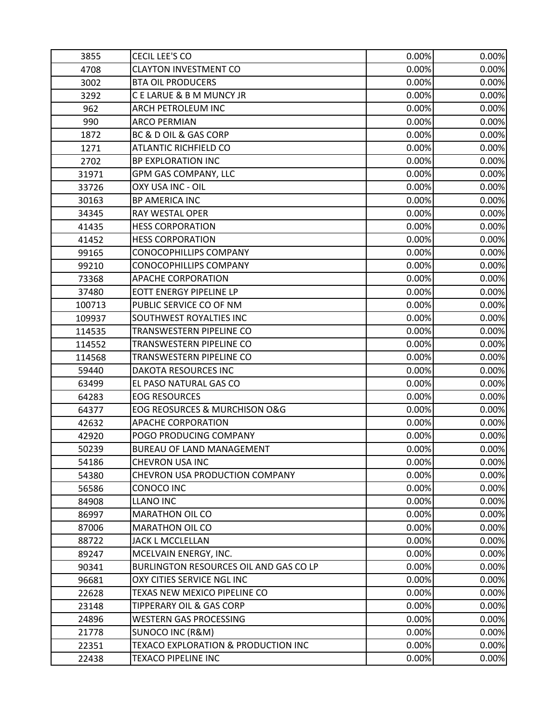| 3855   | CECIL LEE'S CO                         | 0.00% | 0.00% |
|--------|----------------------------------------|-------|-------|
| 4708   | <b>CLAYTON INVESTMENT CO</b>           | 0.00% | 0.00% |
| 3002   | <b>BTA OIL PRODUCERS</b>               | 0.00% | 0.00% |
| 3292   | C E LARUE & B M MUNCY JR               | 0.00% | 0.00% |
| 962    | <b>ARCH PETROLEUM INC</b>              | 0.00% | 0.00% |
| 990    | <b>ARCO PERMIAN</b>                    | 0.00% | 0.00% |
| 1872   | BC & D OIL & GAS CORP                  | 0.00% | 0.00% |
| 1271   | <b>ATLANTIC RICHFIELD CO</b>           | 0.00% | 0.00% |
| 2702   | <b>BP EXPLORATION INC</b>              | 0.00% | 0.00% |
| 31971  | GPM GAS COMPANY, LLC                   | 0.00% | 0.00% |
| 33726  | OXY USA INC - OIL                      | 0.00% | 0.00% |
| 30163  | BP AMERICA INC                         | 0.00% | 0.00% |
| 34345  | RAY WESTAL OPER                        | 0.00% | 0.00% |
| 41435  | <b>HESS CORPORATION</b>                | 0.00% | 0.00% |
| 41452  | <b>HESS CORPORATION</b>                | 0.00% | 0.00% |
| 99165  | <b>CONOCOPHILLIPS COMPANY</b>          | 0.00% | 0.00% |
| 99210  | CONOCOPHILLIPS COMPANY                 | 0.00% | 0.00% |
| 73368  | <b>APACHE CORPORATION</b>              | 0.00% | 0.00% |
| 37480  | EOTT ENERGY PIPELINE LP                | 0.00% | 0.00% |
| 100713 | PUBLIC SERVICE CO OF NM                | 0.00% | 0.00% |
| 109937 | SOUTHWEST ROYALTIES INC                | 0.00% | 0.00% |
| 114535 | TRANSWESTERN PIPELINE CO               | 0.00% | 0.00% |
| 114552 | TRANSWESTERN PIPELINE CO               | 0.00% | 0.00% |
| 114568 | TRANSWESTERN PIPELINE CO               | 0.00% | 0.00% |
| 59440  | DAKOTA RESOURCES INC                   | 0.00% | 0.00% |
| 63499  | EL PASO NATURAL GAS CO                 | 0.00% | 0.00% |
| 64283  | <b>EOG RESOURCES</b>                   | 0.00% | 0.00% |
| 64377  | EOG REOSURCES & MURCHISON O&G          | 0.00% | 0.00% |
| 42632  | <b>APACHE CORPORATION</b>              | 0.00% | 0.00% |
| 42920  | POGO PRODUCING COMPANY                 | 0.00% | 0.00% |
| 50239  | <b>BUREAU OF LAND MANAGEMENT</b>       | 0.00% | 0.00% |
| 54186  | CHEVRON USA INC                        | 0.00% | 0.00% |
| 54380  | CHEVRON USA PRODUCTION COMPANY         | 0.00% | 0.00% |
| 56586  | CONOCO INC                             | 0.00% | 0.00% |
| 84908  | <b>LLANO INC</b>                       | 0.00% | 0.00% |
| 86997  | <b>MARATHON OIL CO</b>                 | 0.00% | 0.00% |
| 87006  | <b>MARATHON OIL CO</b>                 | 0.00% | 0.00% |
| 88722  | JACK L MCCLELLAN                       | 0.00% | 0.00% |
| 89247  | MCELVAIN ENERGY, INC.                  | 0.00% | 0.00% |
| 90341  | BURLINGTON RESOURCES OIL AND GAS CO LP | 0.00% | 0.00% |
| 96681  | OXY CITIES SERVICE NGL INC             | 0.00% | 0.00% |
| 22628  | TEXAS NEW MEXICO PIPELINE CO           | 0.00% | 0.00% |
| 23148  | <b>TIPPERARY OIL &amp; GAS CORP</b>    | 0.00% | 0.00% |
| 24896  | <b>WESTERN GAS PROCESSING</b>          | 0.00% | 0.00% |
| 21778  | SUNOCO INC (R&M)                       | 0.00% | 0.00% |
| 22351  | TEXACO EXPLORATION & PRODUCTION INC    | 0.00% | 0.00% |
| 22438  | <b>TEXACO PIPELINE INC</b>             | 0.00% | 0.00% |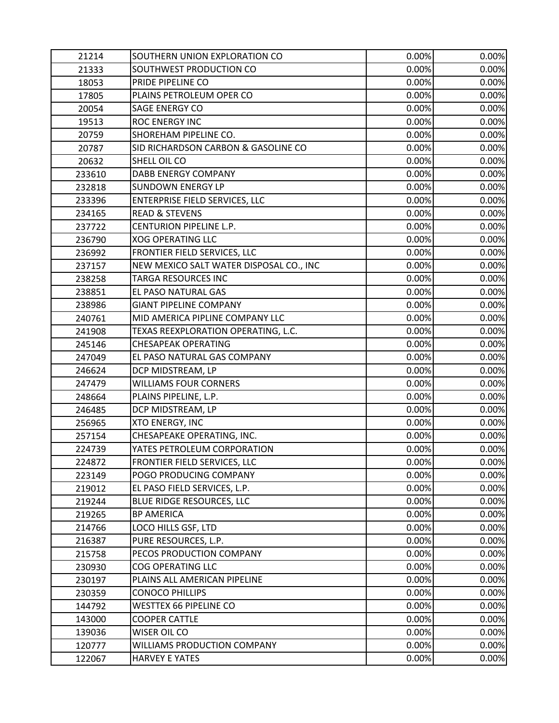| 21214  | SOUTHERN UNION EXPLORATION CO           | 0.00% | 0.00% |
|--------|-----------------------------------------|-------|-------|
| 21333  | SOUTHWEST PRODUCTION CO                 | 0.00% | 0.00% |
| 18053  | PRIDE PIPELINE CO                       | 0.00% | 0.00% |
| 17805  | PLAINS PETROLEUM OPER CO                | 0.00% | 0.00% |
| 20054  | SAGE ENERGY CO                          | 0.00% | 0.00% |
| 19513  | ROC ENERGY INC                          | 0.00% | 0.00% |
| 20759  | SHOREHAM PIPELINE CO.                   | 0.00% | 0.00% |
| 20787  | SID RICHARDSON CARBON & GASOLINE CO     | 0.00% | 0.00% |
| 20632  | SHELL OIL CO                            | 0.00% | 0.00% |
| 233610 | <b>DABB ENERGY COMPANY</b>              | 0.00% | 0.00% |
| 232818 | <b>SUNDOWN ENERGY LP</b>                | 0.00% | 0.00% |
| 233396 | <b>ENTERPRISE FIELD SERVICES, LLC</b>   | 0.00% | 0.00% |
| 234165 | <b>READ &amp; STEVENS</b>               | 0.00% | 0.00% |
| 237722 | CENTURION PIPELINE L.P.                 | 0.00% | 0.00% |
| 236790 | <b>XOG OPERATING LLC</b>                | 0.00% | 0.00% |
| 236992 | FRONTIER FIELD SERVICES, LLC            | 0.00% | 0.00% |
| 237157 | NEW MEXICO SALT WATER DISPOSAL CO., INC | 0.00% | 0.00% |
| 238258 | <b>TARGA RESOURCES INC</b>              | 0.00% | 0.00% |
| 238851 | EL PASO NATURAL GAS                     | 0.00% | 0.00% |
| 238986 | <b>GIANT PIPELINE COMPANY</b>           | 0.00% | 0.00% |
| 240761 | MID AMERICA PIPLINE COMPANY LLC         | 0.00% | 0.00% |
| 241908 | TEXAS REEXPLORATION OPERATING, L.C.     | 0.00% | 0.00% |
| 245146 | <b>CHESAPEAK OPERATING</b>              | 0.00% | 0.00% |
| 247049 | EL PASO NATURAL GAS COMPANY             | 0.00% | 0.00% |
| 246624 | DCP MIDSTREAM, LP                       | 0.00% | 0.00% |
| 247479 | <b>WILLIAMS FOUR CORNERS</b>            | 0.00% | 0.00% |
| 248664 | PLAINS PIPELINE, L.P.                   | 0.00% | 0.00% |
| 246485 | DCP MIDSTREAM, LP                       | 0.00% | 0.00% |
| 256965 | <b>XTO ENERGY, INC</b>                  | 0.00% | 0.00% |
| 257154 | CHESAPEAKE OPERATING, INC.              | 0.00% | 0.00% |
| 224739 | YATES PETROLEUM CORPORATION             | 0.00% | 0.00% |
| 224872 | FRONTIER FIELD SERVICES, LLC            | 0.00% | 0.00% |
| 223149 | POGO PRODUCING COMPANY                  | 0.00% | 0.00% |
| 219012 | EL PASO FIELD SERVICES, L.P.            | 0.00% | 0.00% |
| 219244 | BLUE RIDGE RESOURCES, LLC               | 0.00% | 0.00% |
| 219265 | <b>BP AMERICA</b>                       | 0.00% | 0.00% |
| 214766 | LOCO HILLS GSF, LTD                     | 0.00% | 0.00% |
| 216387 | PURE RESOURCES, L.P.                    | 0.00% | 0.00% |
| 215758 | PECOS PRODUCTION COMPANY                | 0.00% | 0.00% |
| 230930 | <b>COG OPERATING LLC</b>                | 0.00% | 0.00% |
| 230197 | PLAINS ALL AMERICAN PIPELINE            | 0.00% | 0.00% |
| 230359 | <b>CONOCO PHILLIPS</b>                  | 0.00% | 0.00% |
| 144792 | <b>WESTTEX 66 PIPELINE CO</b>           | 0.00% | 0.00% |
| 143000 | <b>COOPER CATTLE</b>                    | 0.00% | 0.00% |
| 139036 | WISER OIL CO                            | 0.00% | 0.00% |
| 120777 | WILLIAMS PRODUCTION COMPANY             | 0.00% | 0.00% |
| 122067 | <b>HARVEY E YATES</b>                   | 0.00% | 0.00% |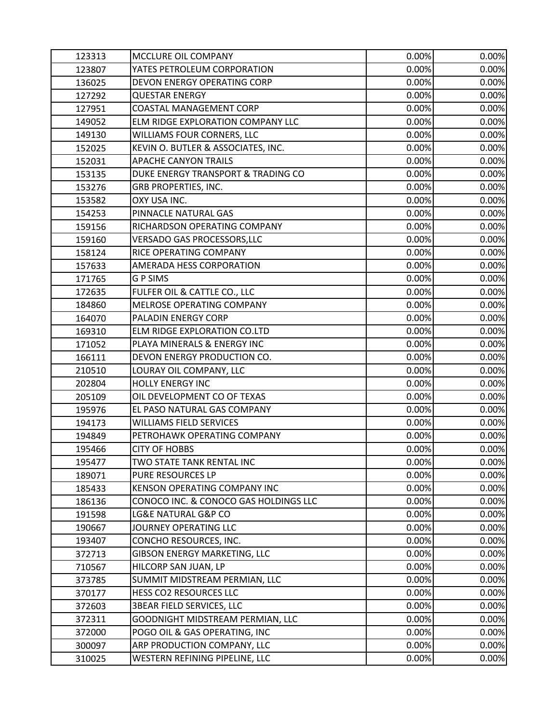| 123313 | MCCLURE OIL COMPANY                   | 0.00% | 0.00% |
|--------|---------------------------------------|-------|-------|
| 123807 | YATES PETROLEUM CORPORATION           | 0.00% | 0.00% |
| 136025 | DEVON ENERGY OPERATING CORP           | 0.00% | 0.00% |
| 127292 | <b>QUESTAR ENERGY</b>                 | 0.00% | 0.00% |
| 127951 | COASTAL MANAGEMENT CORP               | 0.00% | 0.00% |
| 149052 | ELM RIDGE EXPLORATION COMPANY LLC     | 0.00% | 0.00% |
| 149130 | WILLIAMS FOUR CORNERS, LLC            | 0.00% | 0.00% |
| 152025 | KEVIN O. BUTLER & ASSOCIATES, INC.    | 0.00% | 0.00% |
| 152031 | <b>APACHE CANYON TRAILS</b>           | 0.00% | 0.00% |
| 153135 | DUKE ENERGY TRANSPORT & TRADING CO    | 0.00% | 0.00% |
| 153276 | GRB PROPERTIES, INC.                  | 0.00% | 0.00% |
| 153582 | OXY USA INC.                          | 0.00% | 0.00% |
| 154253 | PINNACLE NATURAL GAS                  | 0.00% | 0.00% |
| 159156 | RICHARDSON OPERATING COMPANY          | 0.00% | 0.00% |
| 159160 | VERSADO GAS PROCESSORS, LLC           | 0.00% | 0.00% |
| 158124 | RICE OPERATING COMPANY                | 0.00% | 0.00% |
| 157633 | AMERADA HESS CORPORATION              | 0.00% | 0.00% |
| 171765 | <b>GPSIMS</b>                         | 0.00% | 0.00% |
| 172635 | FULFER OIL & CATTLE CO., LLC          | 0.00% | 0.00% |
| 184860 | MELROSE OPERATING COMPANY             | 0.00% | 0.00% |
| 164070 | PALADIN ENERGY CORP                   | 0.00% | 0.00% |
| 169310 | ELM RIDGE EXPLORATION CO.LTD          | 0.00% | 0.00% |
| 171052 | PLAYA MINERALS & ENERGY INC           | 0.00% | 0.00% |
| 166111 | DEVON ENERGY PRODUCTION CO.           | 0.00% | 0.00% |
| 210510 | LOURAY OIL COMPANY, LLC               | 0.00% | 0.00% |
| 202804 | <b>HOLLY ENERGY INC</b>               | 0.00% | 0.00% |
| 205109 | OIL DEVELOPMENT CO OF TEXAS           | 0.00% | 0.00% |
| 195976 | EL PASO NATURAL GAS COMPANY           | 0.00% | 0.00% |
| 194173 | <b>WILLIAMS FIELD SERVICES</b>        | 0.00% | 0.00% |
| 194849 | PETROHAWK OPERATING COMPANY           | 0.00% | 0.00% |
| 195466 | <b>CITY OF HOBBS</b>                  | 0.00% | 0.00% |
| 195477 | TWO STATE TANK RENTAL INC             | 0.00% | 0.00% |
| 189071 | PURE RESOURCES LP                     | 0.00% | 0.00% |
| 185433 | KENSON OPERATING COMPANY INC          | 0.00% | 0.00% |
| 186136 | CONOCO INC. & CONOCO GAS HOLDINGS LLC | 0.00% | 0.00% |
| 191598 | LG&E NATURAL G&P CO                   | 0.00% | 0.00% |
| 190667 | JOURNEY OPERATING LLC                 | 0.00% | 0.00% |
| 193407 | CONCHO RESOURCES, INC.                | 0.00% | 0.00% |
| 372713 | GIBSON ENERGY MARKETING, LLC          | 0.00% | 0.00% |
| 710567 | HILCORP SAN JUAN, LP                  | 0.00% | 0.00% |
| 373785 | SUMMIT MIDSTREAM PERMIAN, LLC         | 0.00% | 0.00% |
| 370177 | HESS CO2 RESOURCES LLC                | 0.00% | 0.00% |
| 372603 | <b>3BEAR FIELD SERVICES, LLC</b>      | 0.00% | 0.00% |
| 372311 | GOODNIGHT MIDSTREAM PERMIAN, LLC      | 0.00% | 0.00% |
| 372000 | POGO OIL & GAS OPERATING, INC         | 0.00% | 0.00% |
| 300097 | ARP PRODUCTION COMPANY, LLC           | 0.00% | 0.00% |
| 310025 | WESTERN REFINING PIPELINE, LLC        | 0.00% | 0.00% |